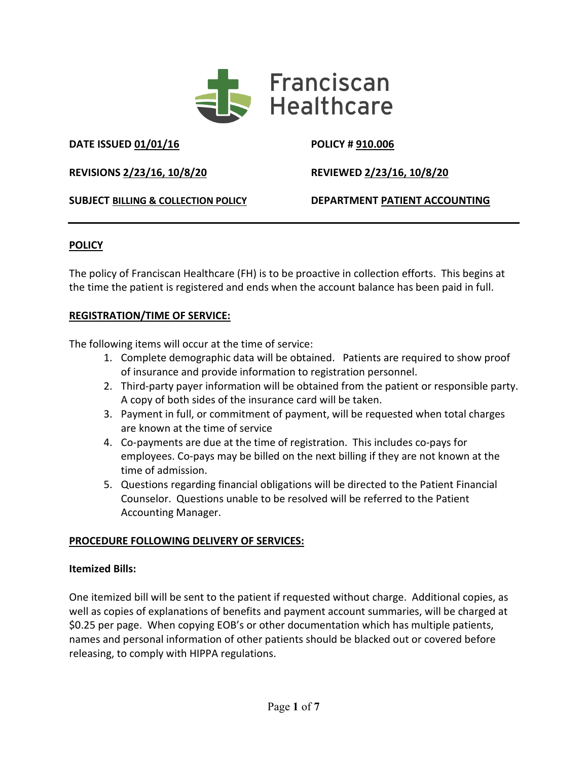

**DATE ISSUED 01/01/16 POLICY # 910.006**

**REVISIONS 2/23/16, 10/8/20 REVIEWED 2/23/16, 10/8/20**

**SUBJECT BILLING & COLLECTION POLICY DEPARTMENT PATIENT ACCOUNTING**

# **POLICY**

The policy of Franciscan Healthcare (FH) is to be proactive in collection efforts. This begins at the time the patient is registered and ends when the account balance has been paid in full.

## **REGISTRATION/TIME OF SERVICE:**

The following items will occur at the time of service:

- 1. Complete demographic data will be obtained. Patients are required to show proof of insurance and provide information to registration personnel.
- 2. Third-party payer information will be obtained from the patient or responsible party. A copy of both sides of the insurance card will be taken.
- 3. Payment in full, or commitment of payment, will be requested when total charges are known at the time of service
- 4. Co-payments are due at the time of registration. This includes co-pays for employees. Co-pays may be billed on the next billing if they are not known at the time of admission.
- 5. Questions regarding financial obligations will be directed to the Patient Financial Counselor. Questions unable to be resolved will be referred to the Patient Accounting Manager.

# **PROCEDURE FOLLOWING DELIVERY OF SERVICES:**

#### **Itemized Bills:**

One itemized bill will be sent to the patient if requested without charge. Additional copies, as well as copies of explanations of benefits and payment account summaries, will be charged at \$0.25 per page. When copying EOB's or other documentation which has multiple patients, names and personal information of other patients should be blacked out or covered before releasing, to comply with HIPPA regulations.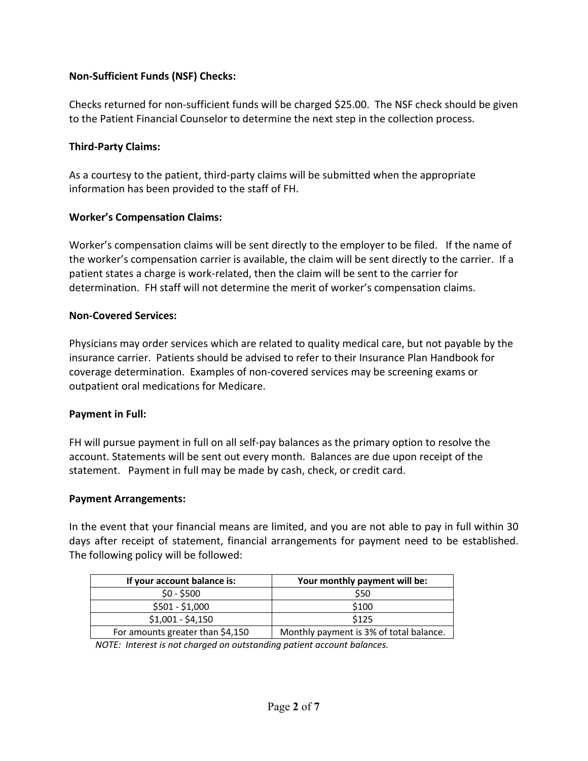## **Non-Sufficient Funds (NSF) Checks:**

Checks returned for non-sufficient funds will be charged \$25.00. The NSF check should be given to the Patient Financial Counselor to determine the next step in the collection process.

#### **Third-Party Claims:**

As a courtesy to the patient, third-party claims will be submitted when the appropriate information has been provided to the staff of FH.

## **Worker's Compensation Claims:**

Worker's compensation claims will be sent directly to the employer to be filed. If the name of the worker's compensation carrier is available, the claim will be sent directly to the carrier. If a patient states a charge is work-related, then the claim will be sent to the carrier for determination. FH staff will not determine the merit of worker's compensation claims.

#### **Non-Covered Services:**

Physicians may order services which are related to quality medical care, but not payable by the insurance carrier. Patients should be advised to refer to their Insurance Plan Handbook for coverage determination. Examples of non-covered services may be screening exams or outpatient oral medications for Medicare.

#### **Payment in Full:**

FH will pursue payment in full on all self-pay balances as the primary option to resolve the account. Statements will be sent out every month. Balances are due upon receipt of the statement. Payment in full may be made by cash, check, or credit card.

#### **Payment Arrangements:**

In the event that your financial means are limited, and you are not able to pay in full within 30 days after receipt of statement, financial arrangements for payment need to be established. The following policy will be followed:

| If your account balance is:      | Your monthly payment will be:           |
|----------------------------------|-----------------------------------------|
| $$0 - $500$                      | \$50                                    |
| $$501 - $1,000$                  | \$100                                   |
| $$1,001 - $4,150$                | \$125                                   |
| For amounts greater than \$4,150 | Monthly payment is 3% of total balance. |

*NOTE: Interest is not charged on outstanding patient account balances.*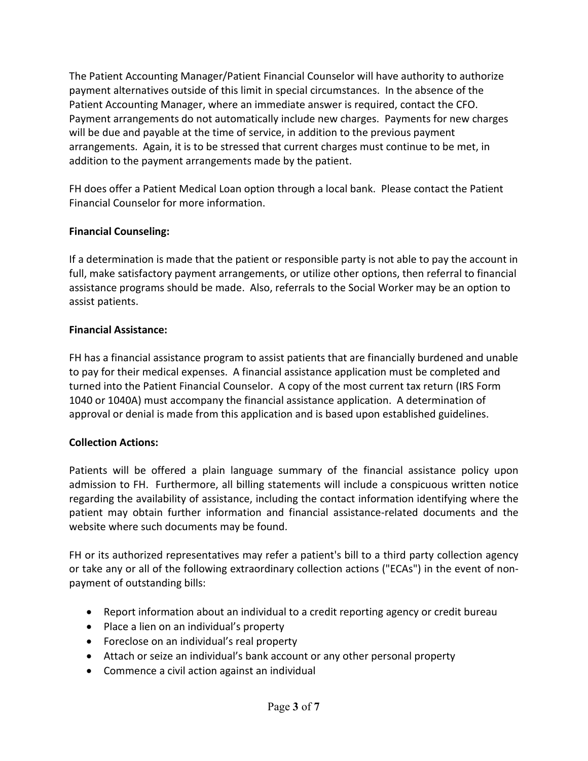The Patient Accounting Manager/Patient Financial Counselor will have authority to authorize payment alternatives outside of this limit in special circumstances. In the absence of the Patient Accounting Manager, where an immediate answer is required, contact the CFO. Payment arrangements do not automatically include new charges. Payments for new charges will be due and payable at the time of service, in addition to the previous payment arrangements. Again, it is to be stressed that current charges must continue to be met, in addition to the payment arrangements made by the patient.

FH does offer a Patient Medical Loan option through a local bank. Please contact the Patient Financial Counselor for more information.

## **Financial Counseling:**

If a determination is made that the patient or responsible party is not able to pay the account in full, make satisfactory payment arrangements, or utilize other options, then referral to financial assistance programs should be made. Also, referrals to the Social Worker may be an option to assist patients.

## **Financial Assistance:**

FH has a financial assistance program to assist patients that are financially burdened and unable to pay for their medical expenses. A financial assistance application must be completed and turned into the Patient Financial Counselor. A copy of the most current tax return (IRS Form 1040 or 1040A) must accompany the financial assistance application. A determination of approval or denial is made from this application and is based upon established guidelines.

# **Collection Actions:**

Patients will be offered a plain language summary of the financial assistance policy upon admission to FH. Furthermore, all billing statements will include a conspicuous written notice regarding the availability of assistance, including the contact information identifying where the patient may obtain further information and financial assistance-related documents and the website where such documents may be found.

FH or its authorized representatives may refer a patient's bill to a third party collection agency or take any or all of the following extraordinary collection actions ("ECAs") in the event of nonpayment of outstanding bills:

- Report information about an individual to a credit reporting agency or credit bureau
- Place a lien on an individual's property
- Foreclose on an individual's real property
- Attach or seize an individual's bank account or any other personal property
- Commence a civil action against an individual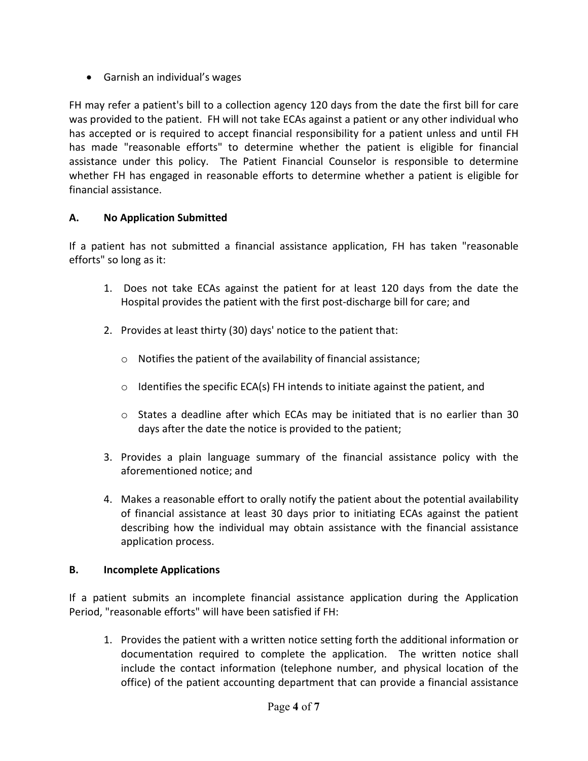• Garnish an individual's wages

FH may refer a patient's bill to a collection agency 120 days from the date the first bill for care was provided to the patient. FH will not take ECAs against a patient or any other individual who has accepted or is required to accept financial responsibility for a patient unless and until FH has made "reasonable efforts" to determine whether the patient is eligible for financial assistance under this policy. The Patient Financial Counselor is responsible to determine whether FH has engaged in reasonable efforts to determine whether a patient is eligible for financial assistance.

## **A. No Application Submitted**

If a patient has not submitted a financial assistance application, FH has taken "reasonable efforts" so long as it:

- 1. Does not take ECAs against the patient for at least 120 days from the date the Hospital provides the patient with the first post-discharge bill for care; and
- 2. Provides at least thirty (30) days' notice to the patient that:
	- o Notifies the patient of the availability of financial assistance;
	- $\circ$  Identifies the specific ECA(s) FH intends to initiate against the patient, and
	- o States a deadline after which ECAs may be initiated that is no earlier than 30 days after the date the notice is provided to the patient;
- 3. Provides a plain language summary of the financial assistance policy with the aforementioned notice; and
- 4. Makes a reasonable effort to orally notify the patient about the potential availability of financial assistance at least 30 days prior to initiating ECAs against the patient describing how the individual may obtain assistance with the financial assistance application process.

#### **B. Incomplete Applications**

If a patient submits an incomplete financial assistance application during the Application Period, "reasonable efforts" will have been satisfied if FH:

1. Provides the patient with a written notice setting forth the additional information or documentation required to complete the application. The written notice shall include the contact information (telephone number, and physical location of the office) of the patient accounting department that can provide a financial assistance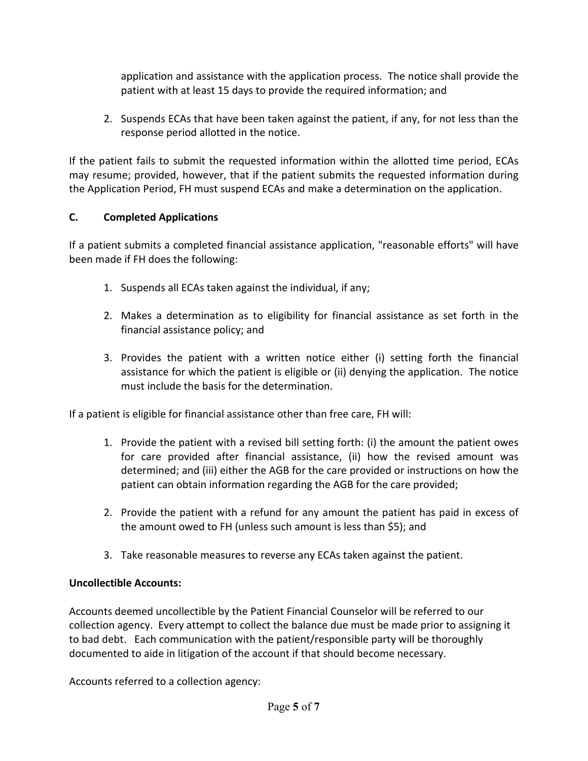application and assistance with the application process. The notice shall provide the patient with at least 15 days to provide the required information; and

2. Suspends ECAs that have been taken against the patient, if any, for not less than the response period allotted in the notice.

If the patient fails to submit the requested information within the allotted time period, ECAs may resume; provided, however, that if the patient submits the requested information during the Application Period, FH must suspend ECAs and make a determination on the application.

# **C. Completed Applications**

If a patient submits a completed financial assistance application, "reasonable efforts" will have been made if FH does the following:

- 1. Suspends all ECAs taken against the individual, if any;
- 2. Makes a determination as to eligibility for financial assistance as set forth in the financial assistance policy; and
- 3. Provides the patient with a written notice either (i) setting forth the financial assistance for which the patient is eligible or (ii) denying the application. The notice must include the basis for the determination.

If a patient is eligible for financial assistance other than free care, FH will:

- 1. Provide the patient with a revised bill setting forth: (i) the amount the patient owes for care provided after financial assistance, (ii) how the revised amount was determined; and (iii) either the AGB for the care provided or instructions on how the patient can obtain information regarding the AGB for the care provided;
- 2. Provide the patient with a refund for any amount the patient has paid in excess of the amount owed to FH (unless such amount is less than \$5); and
- 3. Take reasonable measures to reverse any ECAs taken against the patient.

# **Uncollectible Accounts:**

Accounts deemed uncollectible by the Patient Financial Counselor will be referred to our collection agency. Every attempt to collect the balance due must be made prior to assigning it to bad debt. Each communication with the patient/responsible party will be thoroughly documented to aide in litigation of the account if that should become necessary.

Accounts referred to a collection agency: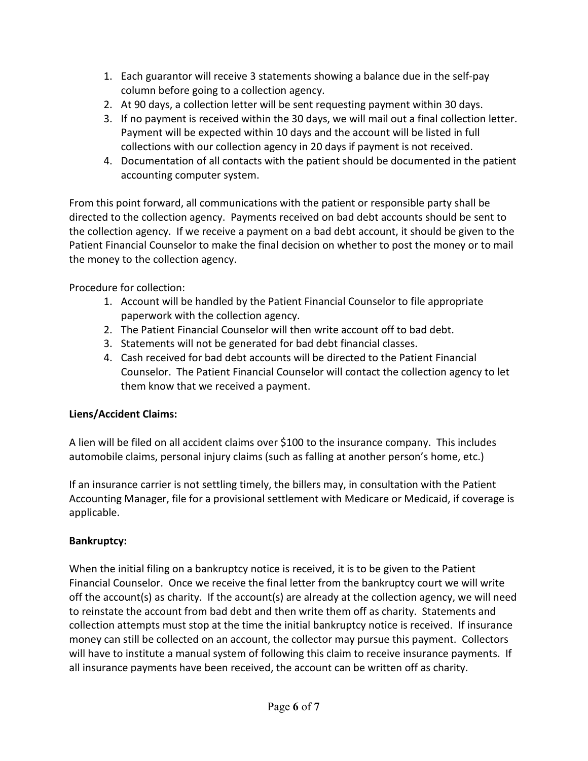- 1. Each guarantor will receive 3 statements showing a balance due in the self-pay column before going to a collection agency.
- 2. At 90 days, a collection letter will be sent requesting payment within 30 days.
- 3. If no payment is received within the 30 days, we will mail out a final collection letter. Payment will be expected within 10 days and the account will be listed in full collections with our collection agency in 20 days if payment is not received.
- 4. Documentation of all contacts with the patient should be documented in the patient accounting computer system.

From this point forward, all communications with the patient or responsible party shall be directed to the collection agency. Payments received on bad debt accounts should be sent to the collection agency. If we receive a payment on a bad debt account, it should be given to the Patient Financial Counselor to make the final decision on whether to post the money or to mail the money to the collection agency.

Procedure for collection:

- 1. Account will be handled by the Patient Financial Counselor to file appropriate paperwork with the collection agency.
- 2. The Patient Financial Counselor will then write account off to bad debt.
- 3. Statements will not be generated for bad debt financial classes.
- 4. Cash received for bad debt accounts will be directed to the Patient Financial Counselor. The Patient Financial Counselor will contact the collection agency to let them know that we received a payment.

# **Liens/Accident Claims:**

A lien will be filed on all accident claims over \$100 to the insurance company. This includes automobile claims, personal injury claims (such as falling at another person's home, etc.)

If an insurance carrier is not settling timely, the billers may, in consultation with the Patient Accounting Manager, file for a provisional settlement with Medicare or Medicaid, if coverage is applicable.

# **Bankruptcy:**

When the initial filing on a bankruptcy notice is received, it is to be given to the Patient Financial Counselor. Once we receive the final letter from the bankruptcy court we will write off the account(s) as charity. If the account(s) are already at the collection agency, we will need to reinstate the account from bad debt and then write them off as charity. Statements and collection attempts must stop at the time the initial bankruptcy notice is received. If insurance money can still be collected on an account, the collector may pursue this payment. Collectors will have to institute a manual system of following this claim to receive insurance payments. If all insurance payments have been received, the account can be written off as charity.